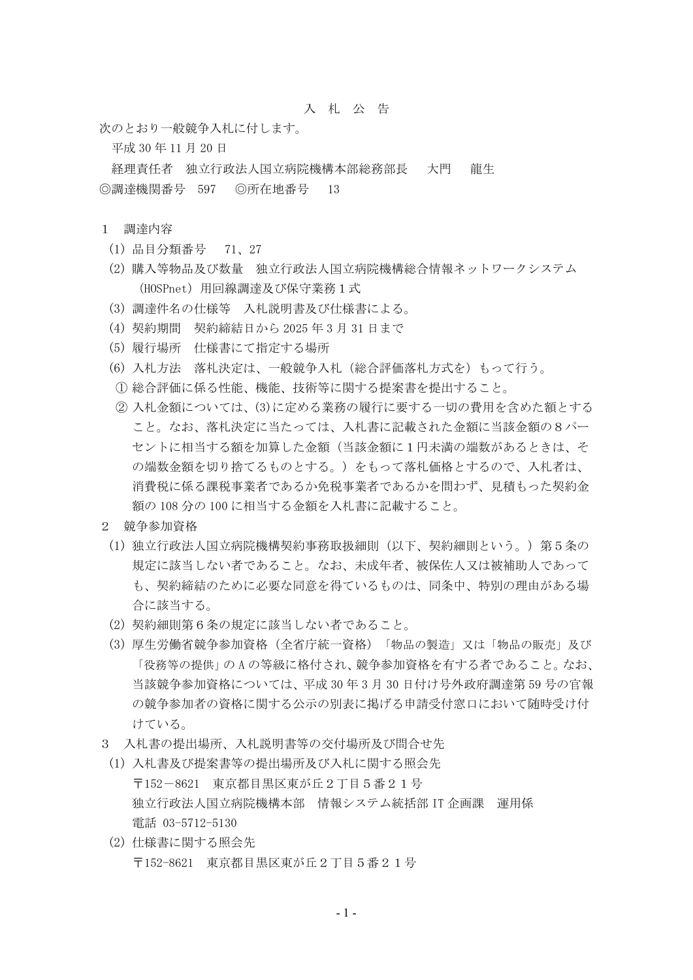## 入 札 公 告

次のとおり一般競争入札に付します。

平成 30 年 11 月 20 日

経理責任者 独立行政法人国立病院機構本部総務部長 大門 龍生 ◎調達機関番号 597 ◎所在地番号 13

## 1 調達内容

- (1) 品目分類番号 71、27
- (2) 購入等物品及び数量 独立行政法人国立病院機構総合情報ネットワークシステム (HOSPnet)用回線調達及び保守業務1式
- (3) 調達件名の仕様等 入札説明書及び仕様書による。
- (4) 契約期間 契約締結日から 2025 年 3 月 31 日まで
- (5) 履行場所 仕様書にて指定する場所
- (6) 入札方法 落札決定は、一般競争入札(総合評価落札方式を)もって行う。
- ① 総合評価に係る性能、機能、技術等に関する提案書を提出すること。
- ② 入札金額については、(3)に定める業務の履行に要する一切の費用を含めた額とする こと。なお、落札決定に当たっては、入札書に記載された金額に当該金額の8パー セントに相当する額を加算した金額(当該金額に1円未満の端数があるときは、そ の端数金額を切り捨てるものとする。)をもって落札価格とするので、入札者は、 消費税に係る課税事業者であるか免税事業者であるかを問わず、見積もった契約金 額の 108 分の 100 に相当する金額を入札書に記載すること。
- 2 競争参加資格
	- (1) 独立行政法人国立病院機構契約事務取扱細則(以下、契約細則という。)第5条の 規定に該当しない者であること。なお、未成年者、被保佐人又は被補助人であって も、契約締結のために必要な同意を得ているものは、同条中、特別の理由がある場 合に該当する。
	- (2) 契約細則第6条の規定に該当しない者であること。
	- (3) 厚生労働省競争参加資格(全省庁統一資格)「物品の製造」又は「物品の販売」及び 「役務等の提供」の A の等級に格付され、競争参加資格を有する者であること。なお、 当該競争参加資格については、平成 30 年 3 月 30 日付け号外政府調達第 59 号の官報 の競争参加者の資格に関する公示の別表に掲げる申請受付窓口において随時受け付 けている。
- 3 入札書の提出場所、入札説明書等の交付場所及び問合せ先
- (1) 入札書及び提案書等の提出場所及び入札に関する照会先 〒152-8621 東京都目黒区東が丘2丁目5番21号 独立行政法人国立病院機構本部 情報システム統括部 IT 企画課 運用係 電話 03-5712-5130
- (2) 仕様書に関する照会先 〒152-8621 東京都目黒区東が丘2丁目5番21号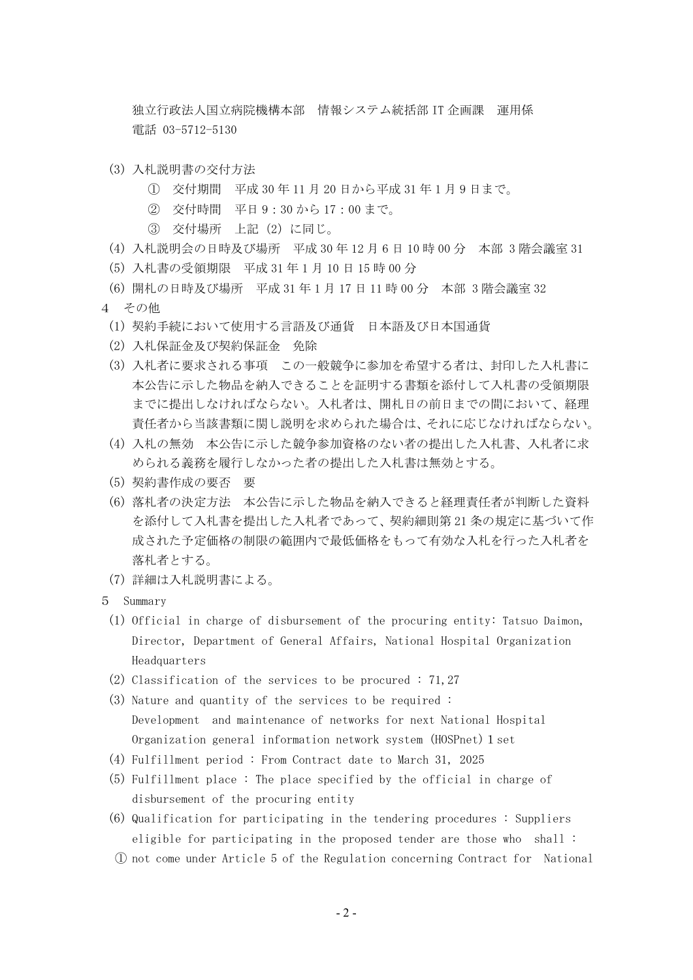独立行政法人国立病院機構本部 情報システム統括部 IT 企画課 運用係 電話 03-5712-5130

- (3) 入札説明書の交付方法
	- ① 交付期間 平成 30 年 11 月 20 日から平成 31 年 1 月 9 日まで。
	- ② 交付時間 平日 9:30 から 17:00 まで。
	- ③ 交付場所 上記(2)に同じ。
- (4) 入札説明会の日時及び場所 平成 30 年 12 月 6 日 10 時 00 分 本部 3 階会議室 31
- (5) 入札書の受領期限 平成 31 年 1 月 10 日 15 時 00 分
- (6) 開札の日時及び場所 平成 31 年 1 月 17 日 11 時 00 分 本部 3 階会議室 32
- 4 その他
	- (1) 契約手続において使用する言語及び通貨 日本語及び日本国通貨
	- (2) 入札保証金及び契約保証金 免除
	- (3) 入札者に要求される事項 この一般競争に参加を希望する者は、封印した入札書に 本公告に示した物品を納入できることを証明する書類を添付して入札書の受領期限 までに提出しなければならない。入札者は、開札日の前日までの間において、経理 責任者から当該書類に関し説明を求められた場合は、それに応じなければならない。
	- (4) 入札の無効 本公告に示した競争参加資格のない者の提出した入札書、入札者に求 められる義務を履行しなかった者の提出した入札書は無効とする。
	- (5) 契約書作成の要否 要
	- (6) 落札者の決定方法 本公告に示した物品を納入できると経理責任者が判断した資料 を添付して入札書を提出した入札者であって、契約細則第 21 条の規定に基づいて作 成された予定価格の制限の範囲内で最低価格をもって有効な入札を行った入札者を 落札者とする。
	- (7) 詳細は入札説明書による。
- 5 Summary
	- (1) Official in charge of disbursement of the procuring entity: Tatsuo Daimon, Director, Department of General Affairs, National Hospital Organization Headquarters
	- (2) Classification of the services to be procured : 71,27
	- (3) Nature and quantity of the services to be required : Development and maintenance of networks for next National Hospital Organization general information network system (HOSPnet) 1 set
	- (4) Fulfillment period : From Contract date to March 31, 2025
	- (5) Fulfillment place : The place specified by the official in charge of disbursement of the procuring entity
	- (6) Qualification for participating in the tendering procedures : Suppliers eligible for participating in the proposed tender are those who shall :
	- ① not come under Article 5 of the Regulation concerning Contract for National